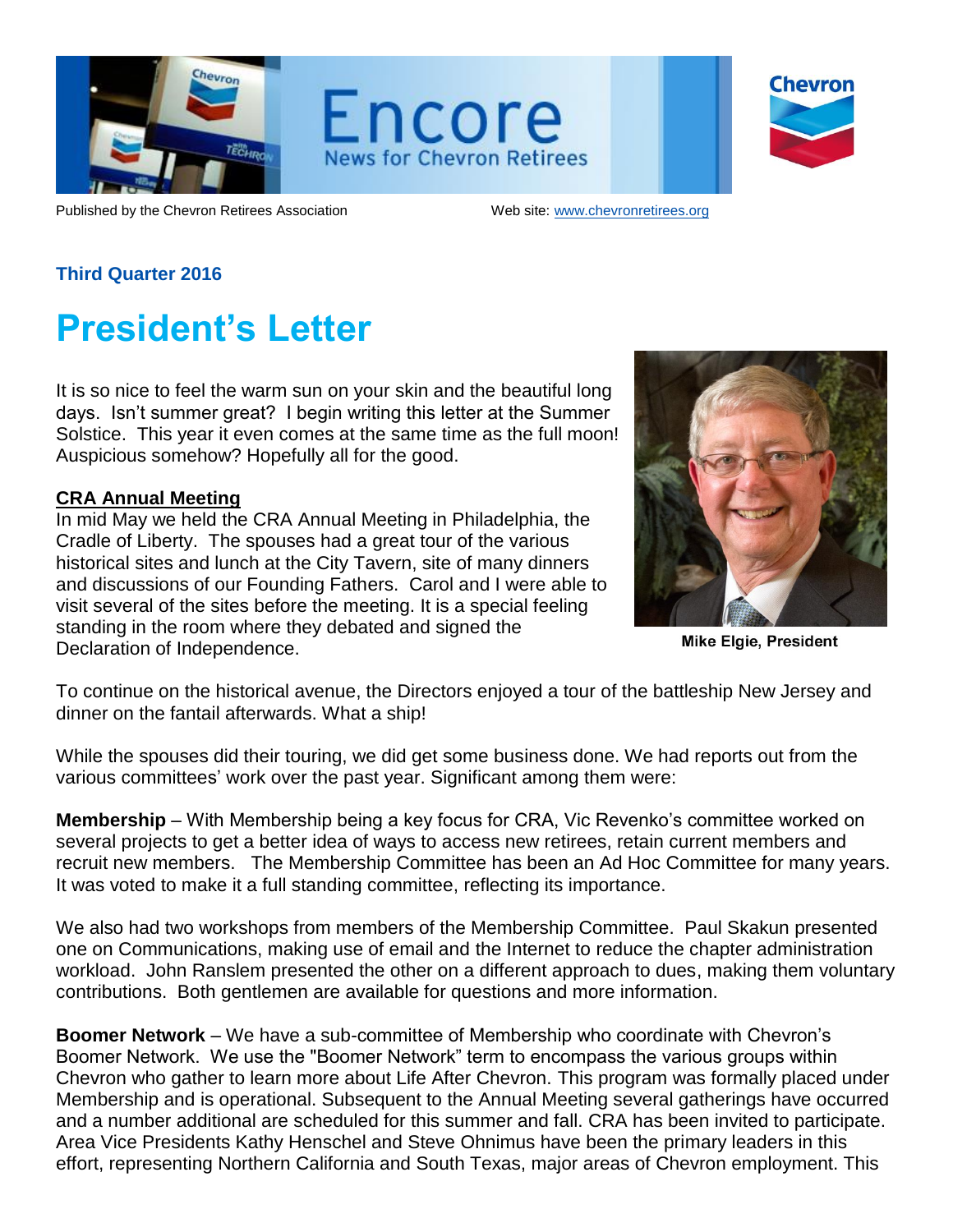

Encore **News for Chevron Retirees** 

| <b>Chevron</b> |
|----------------|
|                |
|                |

Published by the Chevron Retirees Association Web site: [www.chevronretirees.org](http://www.chevronretirees.org/)

## **Third Quarter 2016**

# **President's Letter**

It is so nice to feel the warm sun on your skin and the beautiful long days. Isn't summer great? I begin writing this letter at the Summer Solstice. This year it even comes at the same time as the full moon! Auspicious somehow? Hopefully all for the good.

#### **CRA Annual Meeting**

In mid May we held the CRA Annual Meeting in Philadelphia, the Cradle of Liberty. The spouses had a great tour of the various historical sites and lunch at the City Tavern, site of many dinners and discussions of our Founding Fathers. Carol and I were able to visit several of the sites before the meeting. It is a special feeling standing in the room where they debated and signed the Declaration of Independence.



**Mike Elgie, President** 

To continue on the historical avenue, the Directors enjoyed a tour of the battleship New Jersey and dinner on the fantail afterwards. What a ship!

While the spouses did their touring, we did get some business done. We had reports out from the various committees' work over the past year. Significant among them were:

**Membership** – With Membership being a key focus for CRA, Vic Revenko's committee worked on several projects to get a better idea of ways to access new retirees, retain current members and recruit new members. The Membership Committee has been an Ad Hoc Committee for many years. It was voted to make it a full standing committee, reflecting its importance.

We also had two workshops from members of the Membership Committee. Paul Skakun presented one on Communications, making use of email and the Internet to reduce the chapter administration workload. John Ranslem presented the other on a different approach to dues, making them voluntary contributions. Both gentlemen are available for questions and more information.

**Boomer Network** – We have a sub-committee of Membership who coordinate with Chevron's Boomer Network. We use the "Boomer Network" term to encompass the various groups within Chevron who gather to learn more about Life After Chevron. This program was formally placed under Membership and is operational. Subsequent to the Annual Meeting several gatherings have occurred and a number additional are scheduled for this summer and fall. CRA has been invited to participate. Area Vice Presidents Kathy Henschel and Steve Ohnimus have been the primary leaders in this effort, representing Northern California and South Texas, major areas of Chevron employment. This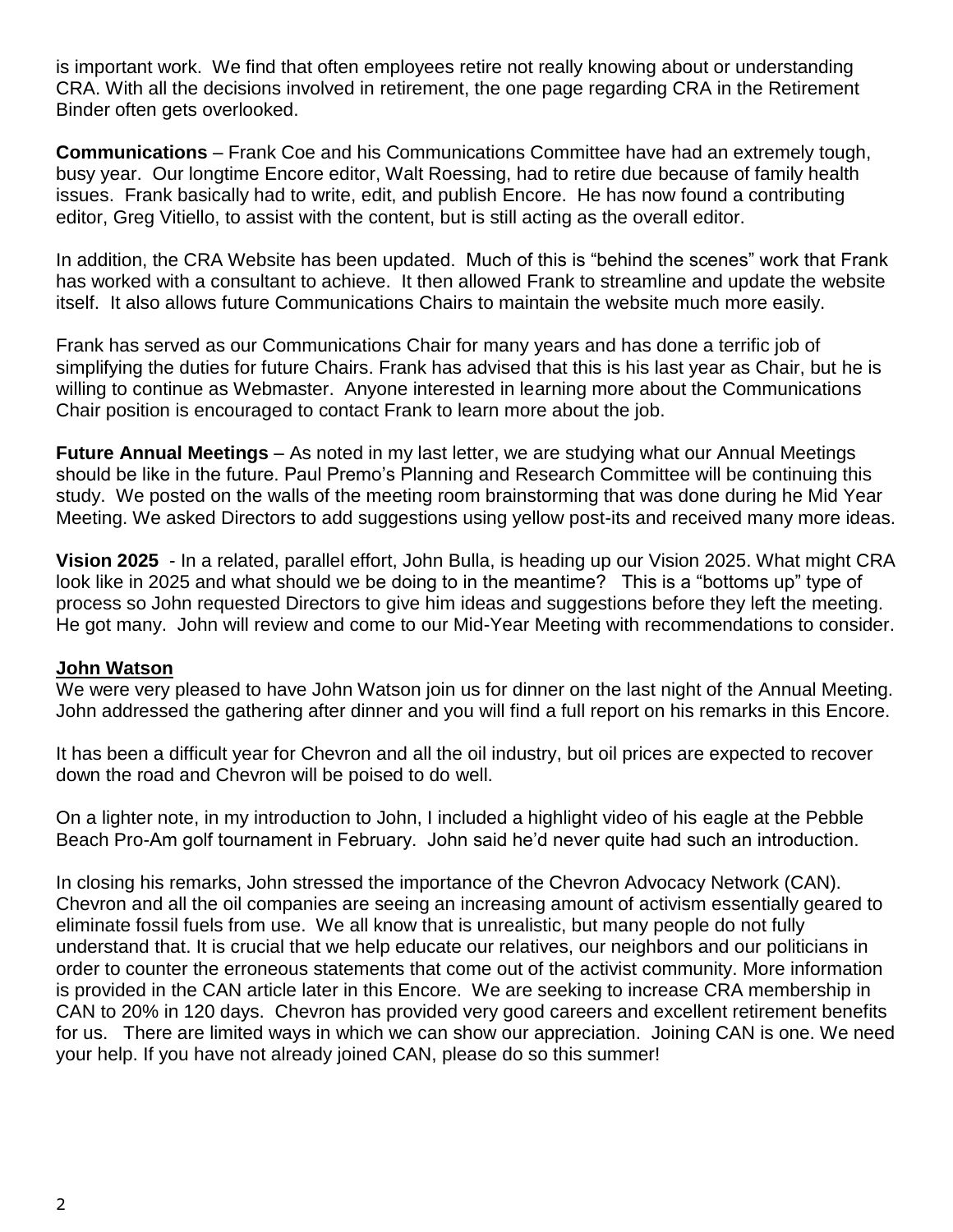is important work. We find that often employees retire not really knowing about or understanding CRA. With all the decisions involved in retirement, the one page regarding CRA in the Retirement Binder often gets overlooked.

**Communications** – Frank Coe and his Communications Committee have had an extremely tough, busy year. Our longtime Encore editor, Walt Roessing, had to retire due because of family health issues. Frank basically had to write, edit, and publish Encore. He has now found a contributing editor, Greg Vitiello, to assist with the content, but is still acting as the overall editor.

In addition, the CRA Website has been updated. Much of this is "behind the scenes" work that Frank has worked with a consultant to achieve. It then allowed Frank to streamline and update the website itself. It also allows future Communications Chairs to maintain the website much more easily.

Frank has served as our Communications Chair for many years and has done a terrific job of simplifying the duties for future Chairs. Frank has advised that this is his last year as Chair, but he is willing to continue as Webmaster. Anyone interested in learning more about the Communications Chair position is encouraged to contact Frank to learn more about the job.

**Future Annual Meetings** – As noted in my last letter, we are studying what our Annual Meetings should be like in the future. Paul Premo's Planning and Research Committee will be continuing this study. We posted on the walls of the meeting room brainstorming that was done during he Mid Year Meeting. We asked Directors to add suggestions using yellow post-its and received many more ideas.

**Vision 2025** - In a related, parallel effort, John Bulla, is heading up our Vision 2025. What might CRA look like in 2025 and what should we be doing to in the meantime? This is a "bottoms up" type of process so John requested Directors to give him ideas and suggestions before they left the meeting. He got many. John will review and come to our Mid-Year Meeting with recommendations to consider.

#### **John Watson**

We were very pleased to have John Watson join us for dinner on the last night of the Annual Meeting. John addressed the gathering after dinner and you will find a full report on his remarks in this Encore.

It has been a difficult year for Chevron and all the oil industry, but oil prices are expected to recover down the road and Chevron will be poised to do well.

On a lighter note, in my introduction to John, I included a highlight video of his eagle at the Pebble Beach Pro-Am golf tournament in February. John said he'd never quite had such an introduction.

In closing his remarks, John stressed the importance of the Chevron Advocacy Network (CAN). Chevron and all the oil companies are seeing an increasing amount of activism essentially geared to eliminate fossil fuels from use. We all know that is unrealistic, but many people do not fully understand that. It is crucial that we help educate our relatives, our neighbors and our politicians in order to counter the erroneous statements that come out of the activist community. More information is provided in the CAN article later in this Encore. We are seeking to increase CRA membership in CAN to 20% in 120 days. Chevron has provided very good careers and excellent retirement benefits for us. There are limited ways in which we can show our appreciation. Joining CAN is one. We need your help. If you have not already joined CAN, please do so this summer!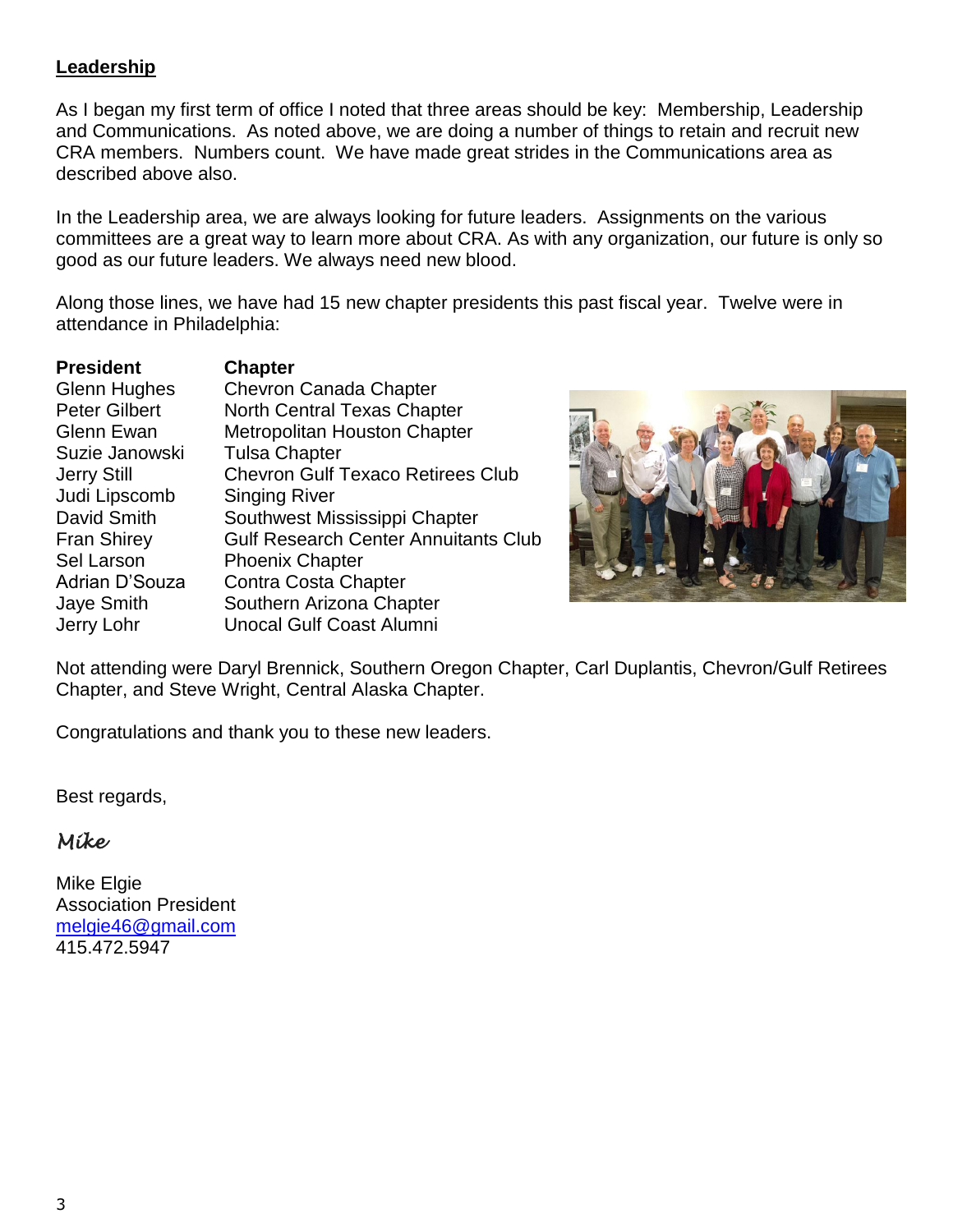## **Leadership**

As I began my first term of office I noted that three areas should be key: Membership, Leadership and Communications. As noted above, we are doing a number of things to retain and recruit new CRA members. Numbers count. We have made great strides in the Communications area as described above also.

In the Leadership area, we are always looking for future leaders. Assignments on the various committees are a great way to learn more about CRA. As with any organization, our future is only so good as our future leaders. We always need new blood.

Along those lines, we have had 15 new chapter presidents this past fiscal year. Twelve were in attendance in Philadelphia:

| <b>President</b>     | <b>Chapter</b>                              |
|----------------------|---------------------------------------------|
| <b>Glenn Hughes</b>  | <b>Chevron Canada Chapter</b>               |
| <b>Peter Gilbert</b> | <b>North Central Texas Chapter</b>          |
| <b>Glenn Ewan</b>    | <b>Metropolitan Houston Chapter</b>         |
| Suzie Janowski       | <b>Tulsa Chapter</b>                        |
| <b>Jerry Still</b>   | <b>Chevron Gulf Texaco Retirees Club</b>    |
| Judi Lipscomb        | <b>Singing River</b>                        |
| David Smith          | Southwest Mississippi Chapter               |
| <b>Fran Shirey</b>   | <b>Gulf Research Center Annuitants Club</b> |
| Sel Larson           | <b>Phoenix Chapter</b>                      |
| Adrian D'Souza       | Contra Costa Chapter                        |
| Jaye Smith           | Southern Arizona Chapter                    |
| Jerry Lohr           | <b>Unocal Gulf Coast Alumni</b>             |



Not attending were Daryl Brennick, Southern Oregon Chapter, Carl Duplantis, Chevron/Gulf Retirees Chapter, and Steve Wright, Central Alaska Chapter.

Congratulations and thank you to these new leaders.

Best regards,

# *Mike*

Mike Elgie Association President [melgie46@gmail.com](mailto:melgie46@gmail.com) 415.472.5947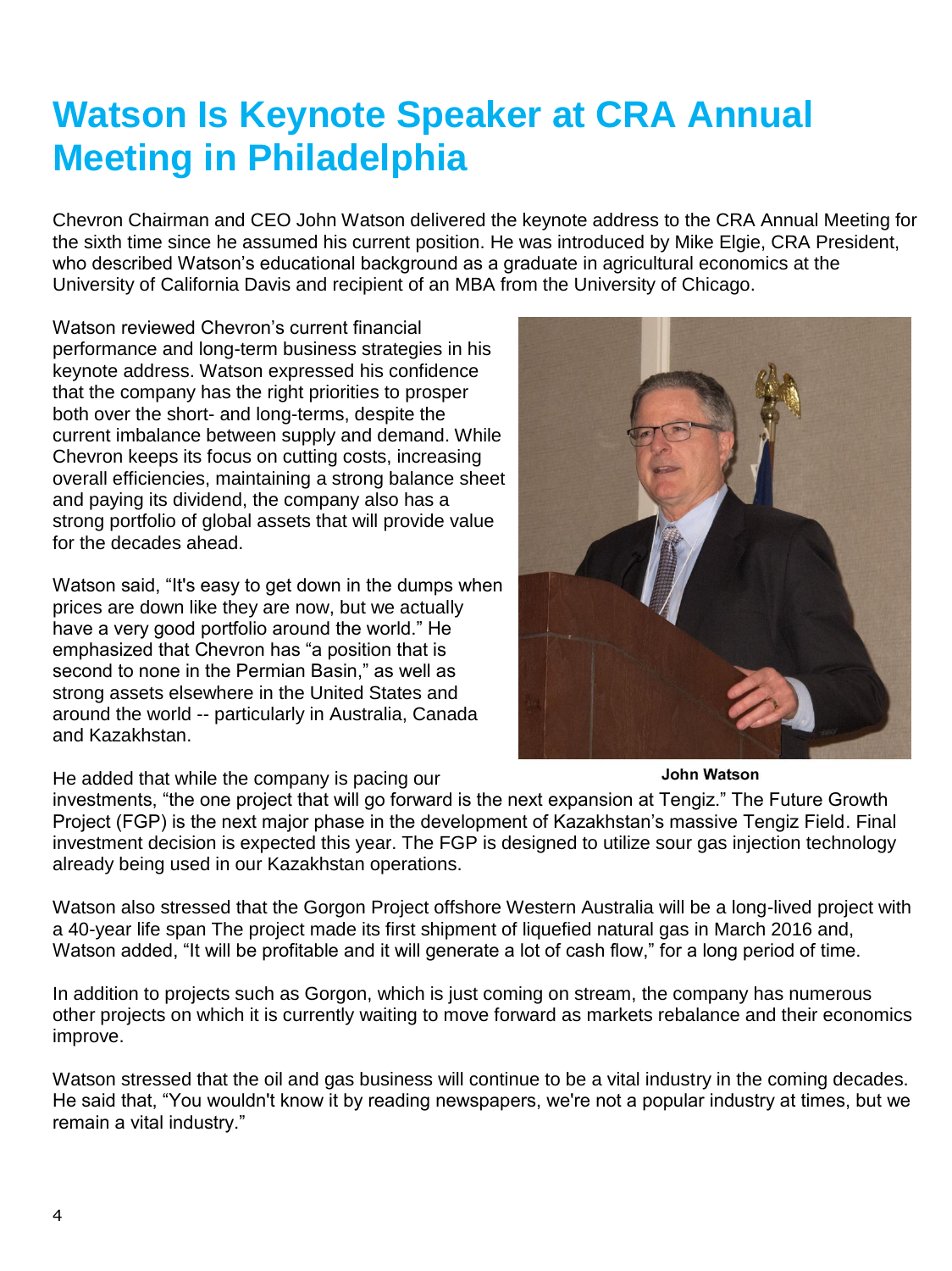# **Watson Is Keynote Speaker at CRA Annual Meeting in Philadelphia**

Chevron Chairman and CEO John Watson delivered the keynote address to the CRA Annual Meeting for the sixth time since he assumed his current position. He was introduced by Mike Elgie, CRA President, who described Watson's educational background as a graduate in agricultural economics at the University of California Davis and recipient of an MBA from the University of Chicago.

Watson reviewed Chevron's current financial performance and long-term business strategies in his keynote address. Watson expressed his confidence that the company has the right priorities to prosper both over the short- and long-terms, despite the current imbalance between supply and demand. While Chevron keeps its focus on cutting costs, increasing overall efficiencies, maintaining a strong balance sheet and paying its dividend, the company also has a strong portfolio of global assets that will provide value for the decades ahead.

Watson said, "It's easy to get down in the dumps when prices are down like they are now, but we actually have a very good portfolio around the world." He emphasized that Chevron has "a position that is second to none in the Permian Basin," as well as strong assets elsewhere in the United States and around the world -- particularly in Australia, Canada and Kazakhstan.

He added that while the company is pacing our

investments, "the one project that will go forward is the next expansion at Tengiz." The Future Growth Project (FGP) is the next major phase in the development of Kazakhstan's massive Tengiz Field. Final investment decision is expected this year. The FGP is designed to utilize sour gas injection technology already being used in our Kazakhstan operations.

Watson also stressed that the Gorgon Project offshore Western Australia will be a long-lived project with a 40-year life span The project made its first shipment of liquefied natural gas in March 2016 and, Watson added, "It will be profitable and it will generate a lot of cash flow," for a long period of time.

In addition to projects such as Gorgon, which is just coming on stream, the company has numerous other projects on which it is currently waiting to move forward as markets rebalance and their economics improve.

Watson stressed that the oil and gas business will continue to be a vital industry in the coming decades. He said that, "You wouldn't know it by reading newspapers, we're not a popular industry at times, but we remain a vital industry."

**John Watson** 

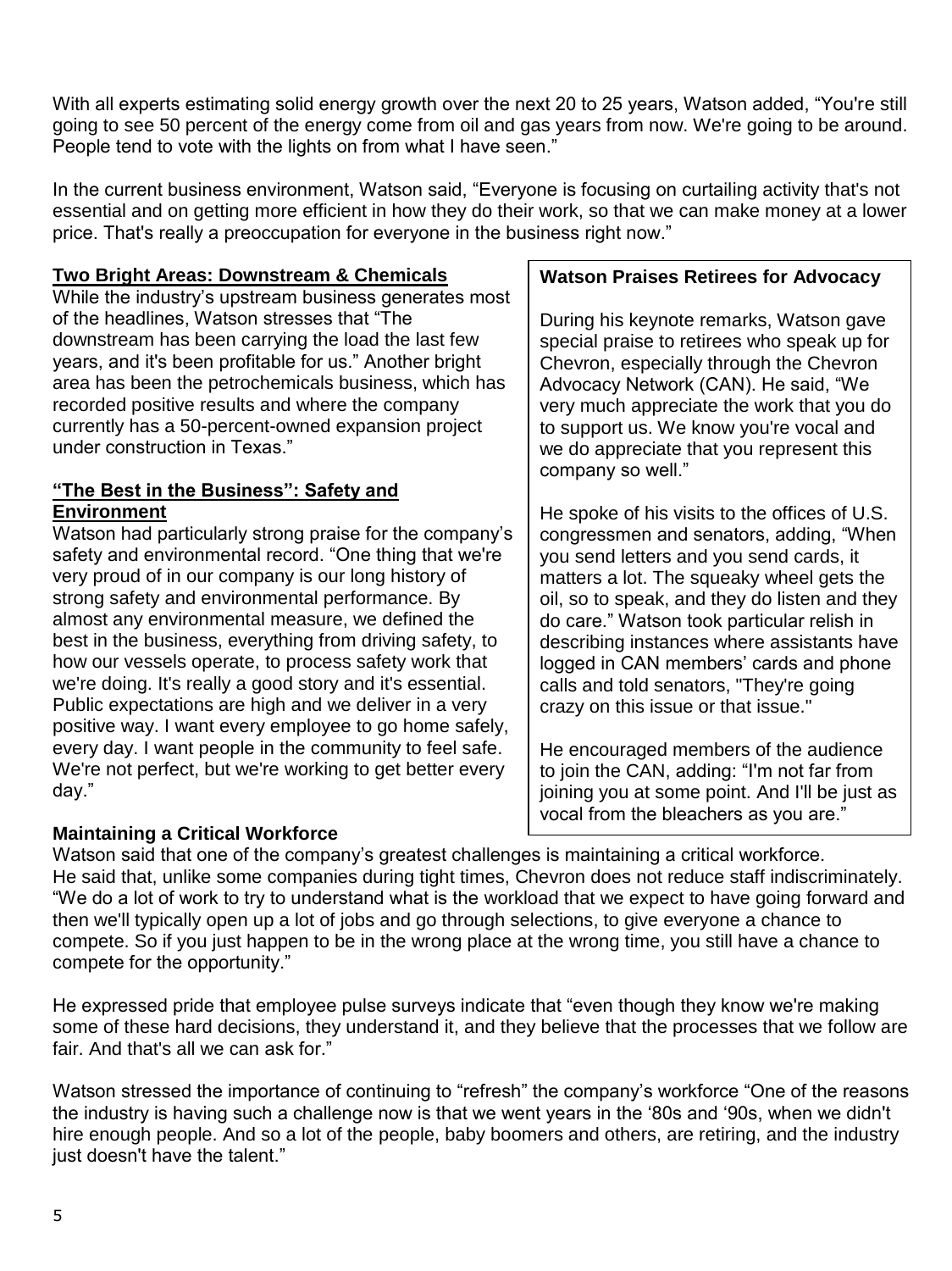With all experts estimating solid energy growth over the next 20 to 25 years, Watson added, "You're still going to see 50 percent of the energy come from oil and gas years from now. We're going to be around. People tend to vote with the lights on from what I have seen."

In the current business environment, Watson said, "Everyone is focusing on curtailing activity that's not essential and on getting more efficient in how they do their work, so that we can make money at a lower price. That's really a preoccupation for everyone in the business right now."

## **Two Bright Areas: Downstream & Chemicals**

While the industry's upstream business generates most of the headlines, Watson stresses that "The downstream has been carrying the load the last few years, and it's been profitable for us." Another bright area has been the petrochemicals business, which has recorded positive results and where the company currently has a 50-percent-owned expansion project under construction in Texas."

#### **"The Best in the Business": Safety and Environment**

Watson had particularly strong praise for the company's safety and environmental record. "One thing that we're very proud of in our company is our long history of strong safety and environmental performance. By almost any environmental measure, we defined the best in the business, everything from driving safety, to how our vessels operate, to process safety work that we're doing. It's really a good story and it's essential. Public expectations are high and we deliver in a very positive way. I want every employee to go home safely, every day. I want people in the community to feel safe. We're not perfect, but we're working to get better every day."

## **Maintaining a Critical Workforce**

#### **Watson Praises Retirees for Advocacy**

During his keynote remarks, Watson gave special praise to retirees who speak up for Chevron, especially through the Chevron Advocacy Network (CAN). He said, "We very much appreciate the work that you do to support us. We know you're vocal and we do appreciate that you represent this company so well."

He spoke of his visits to the offices of U.S. congressmen and senators, adding, "When you send letters and you send cards, it matters a lot. The squeaky wheel gets the oil, so to speak, and they do listen and they do care." Watson took particular relish in describing instances where assistants have logged in CAN members' cards and phone calls and told senators, "They're going crazy on this issue or that issue."

He encouraged members of the audience to join the CAN, adding: "I'm not far from joining you at some point. And I'll be just as vocal from the bleachers as you are."

Watson said that one of the company's greatest challenges is maintaining a critical workforce. He said that, unlike some companies during tight times, Chevron does not reduce staff indiscriminately. "We do a lot of work to try to understand what is the workload that we expect to have going forward and then we'll typically open up a lot of jobs and go through selections, to give everyone a chance to compete. So if you just happen to be in the wrong place at the wrong time, you still have a chance to compete for the opportunity."

He expressed pride that employee pulse surveys indicate that "even though they know we're making some of these hard decisions, they understand it, and they believe that the processes that we follow are fair. And that's all we can ask for."

Watson stressed the importance of continuing to "refresh" the company's workforce "One of the reasons the industry is having such a challenge now is that we went years in the '80s and '90s, when we didn't hire enough people. And so a lot of the people, baby boomers and others, are retiring, and the industry just doesn't have the talent."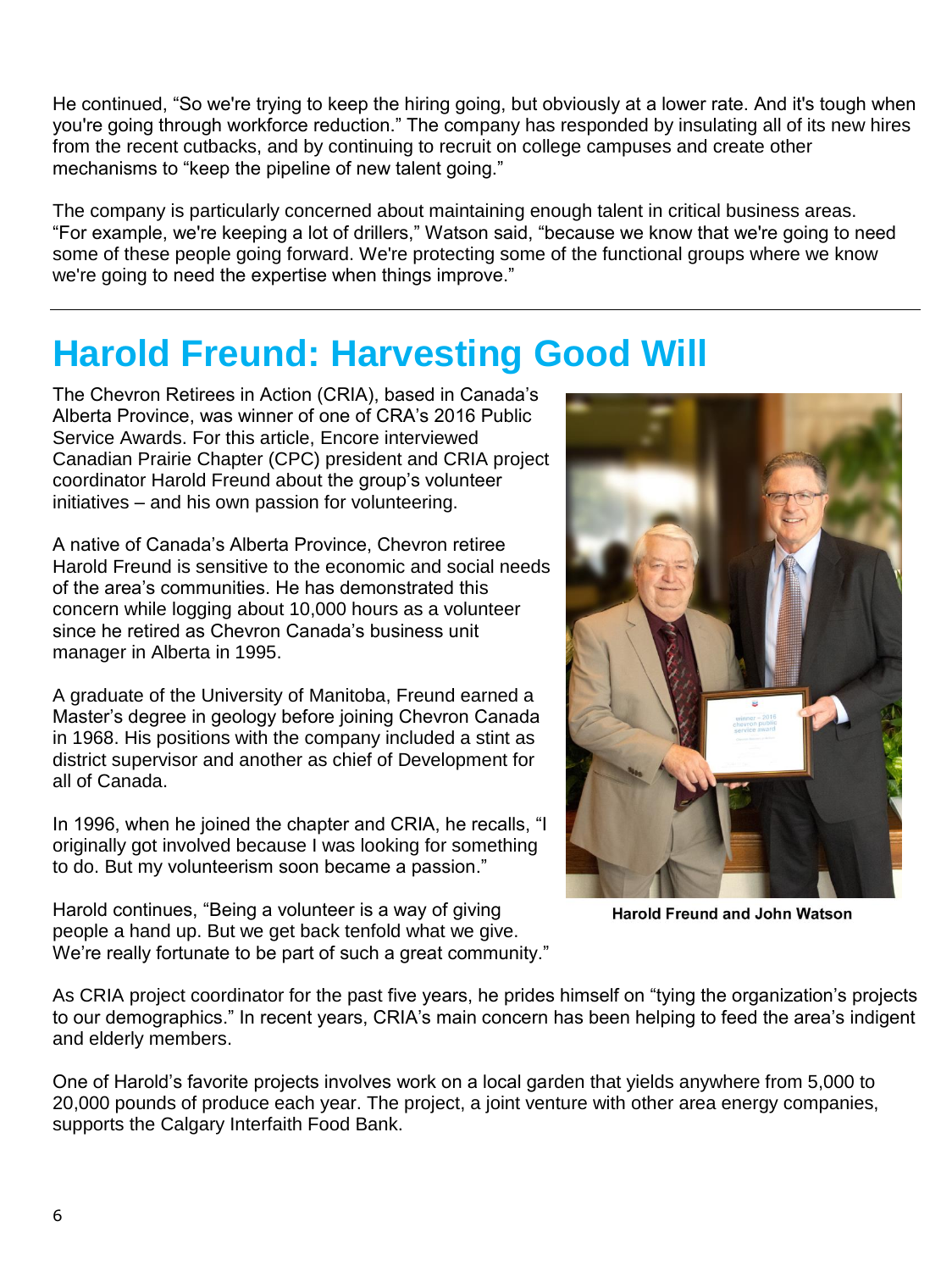He continued, "So we're trying to keep the hiring going, but obviously at a lower rate. And it's tough when you're going through workforce reduction." The company has responded by insulating all of its new hires from the recent cutbacks, and by continuing to recruit on college campuses and create other mechanisms to "keep the pipeline of new talent going."

The company is particularly concerned about maintaining enough talent in critical business areas. "For example, we're keeping a lot of drillers," Watson said, "because we know that we're going to need some of these people going forward. We're protecting some of the functional groups where we know we're going to need the expertise when things improve."

# **Harold Freund: Harvesting Good Will**

The Chevron Retirees in Action (CRIA), based in Canada's Alberta Province, was winner of one of CRA's 2016 Public Service Awards. For this article, Encore interviewed Canadian Prairie Chapter (CPC) president and CRIA project coordinator Harold Freund about the group's volunteer initiatives – and his own passion for volunteering.

A native of Canada's Alberta Province, Chevron retiree Harold Freund is sensitive to the economic and social needs of the area's communities. He has demonstrated this concern while logging about 10,000 hours as a volunteer since he retired as Chevron Canada's business unit manager in Alberta in 1995.

A graduate of the University of Manitoba, Freund earned a Master's degree in geology before joining Chevron Canada in 1968. His positions with the company included a stint as district supervisor and another as chief of Development for all of Canada.

In 1996, when he joined the chapter and CRIA, he recalls, "I originally got involved because I was looking for something to do. But my volunteerism soon became a passion."

Harold continues, "Being a volunteer is a way of giving people a hand up. But we get back tenfold what we give. We're really fortunate to be part of such a great community."



**Harold Freund and John Watson** 

As CRIA project coordinator for the past five years, he prides himself on "tying the organization's projects to our demographics." In recent years, CRIA's main concern has been helping to feed the area's indigent and elderly members.

One of Harold's favorite projects involves work on a local garden that yields anywhere from 5,000 to 20,000 pounds of produce each year. The project, a joint venture with other area energy companies, supports the Calgary Interfaith Food Bank.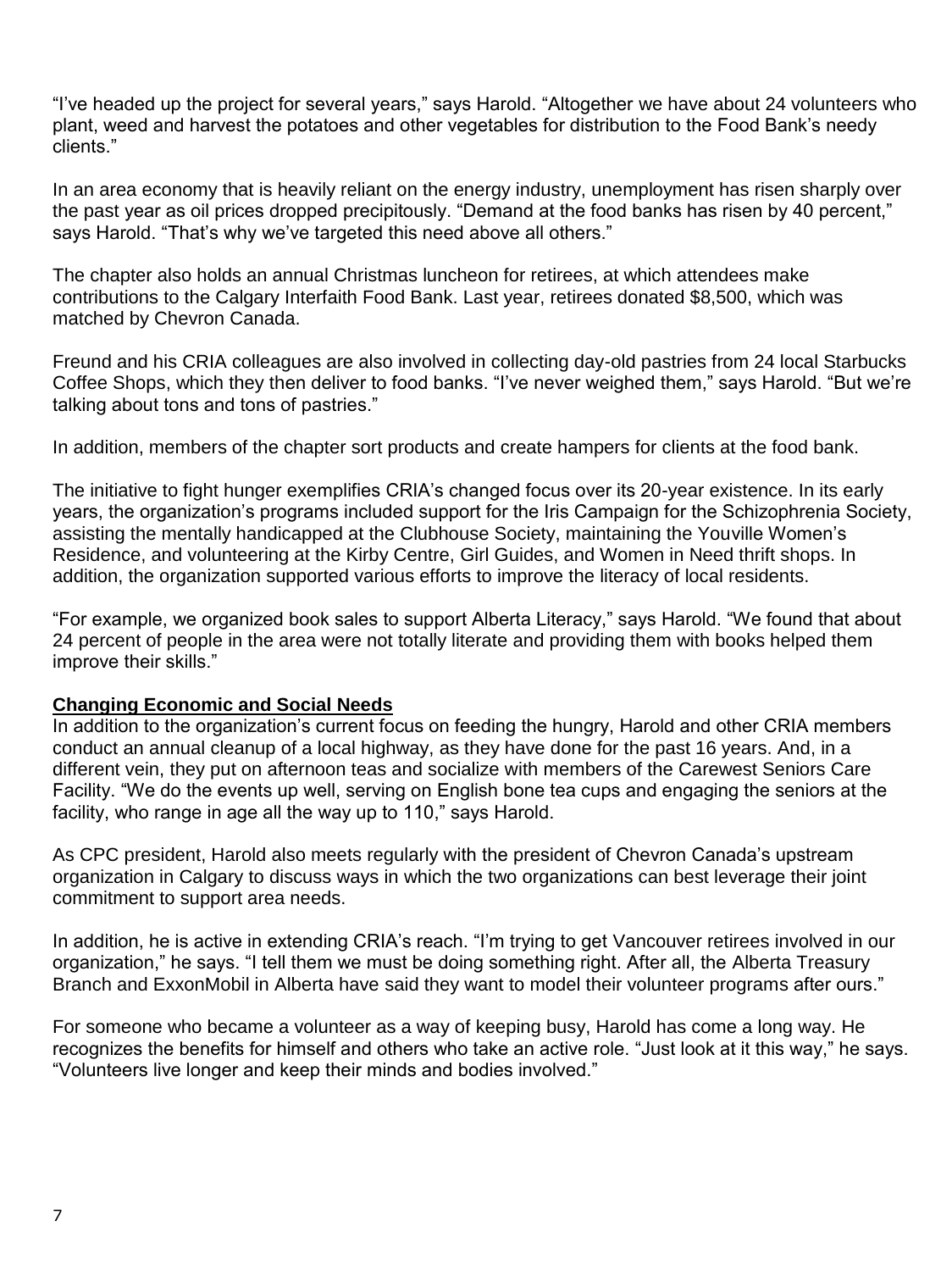"I've headed up the project for several years," says Harold. "Altogether we have about 24 volunteers who plant, weed and harvest the potatoes and other vegetables for distribution to the Food Bank's needy clients."

In an area economy that is heavily reliant on the energy industry, unemployment has risen sharply over the past year as oil prices dropped precipitously. "Demand at the food banks has risen by 40 percent," says Harold. "That's why we've targeted this need above all others."

The chapter also holds an annual Christmas luncheon for retirees, at which attendees make contributions to the Calgary Interfaith Food Bank. Last year, retirees donated \$8,500, which was matched by Chevron Canada.

Freund and his CRIA colleagues are also involved in collecting day-old pastries from 24 local Starbucks Coffee Shops, which they then deliver to food banks. "I've never weighed them," says Harold. "But we're talking about tons and tons of pastries."

In addition, members of the chapter sort products and create hampers for clients at the food bank.

The initiative to fight hunger exemplifies CRIA's changed focus over its 20-year existence. In its early years, the organization's programs included support for the Iris Campaign for the Schizophrenia Society, assisting the mentally handicapped at the Clubhouse Society, maintaining the Youville Women's Residence, and volunteering at the Kirby Centre, Girl Guides, and Women in Need thrift shops. In addition, the organization supported various efforts to improve the literacy of local residents.

"For example, we organized book sales to support Alberta Literacy," says Harold. "We found that about 24 percent of people in the area were not totally literate and providing them with books helped them improve their skills."

#### **Changing Economic and Social Needs**

In addition to the organization's current focus on feeding the hungry, Harold and other CRIA members conduct an annual cleanup of a local highway, as they have done for the past 16 years. And, in a different vein, they put on afternoon teas and socialize with members of the Carewest Seniors Care Facility. "We do the events up well, serving on English bone tea cups and engaging the seniors at the facility, who range in age all the way up to 110," says Harold.

As CPC president, Harold also meets regularly with the president of Chevron Canada's upstream organization in Calgary to discuss ways in which the two organizations can best leverage their joint commitment to support area needs.

In addition, he is active in extending CRIA's reach. "I'm trying to get Vancouver retirees involved in our organization," he says. "I tell them we must be doing something right. After all, the Alberta Treasury Branch and ExxonMobil in Alberta have said they want to model their volunteer programs after ours."

For someone who became a volunteer as a way of keeping busy, Harold has come a long way. He recognizes the benefits for himself and others who take an active role. "Just look at it this way," he says. "Volunteers live longer and keep their minds and bodies involved."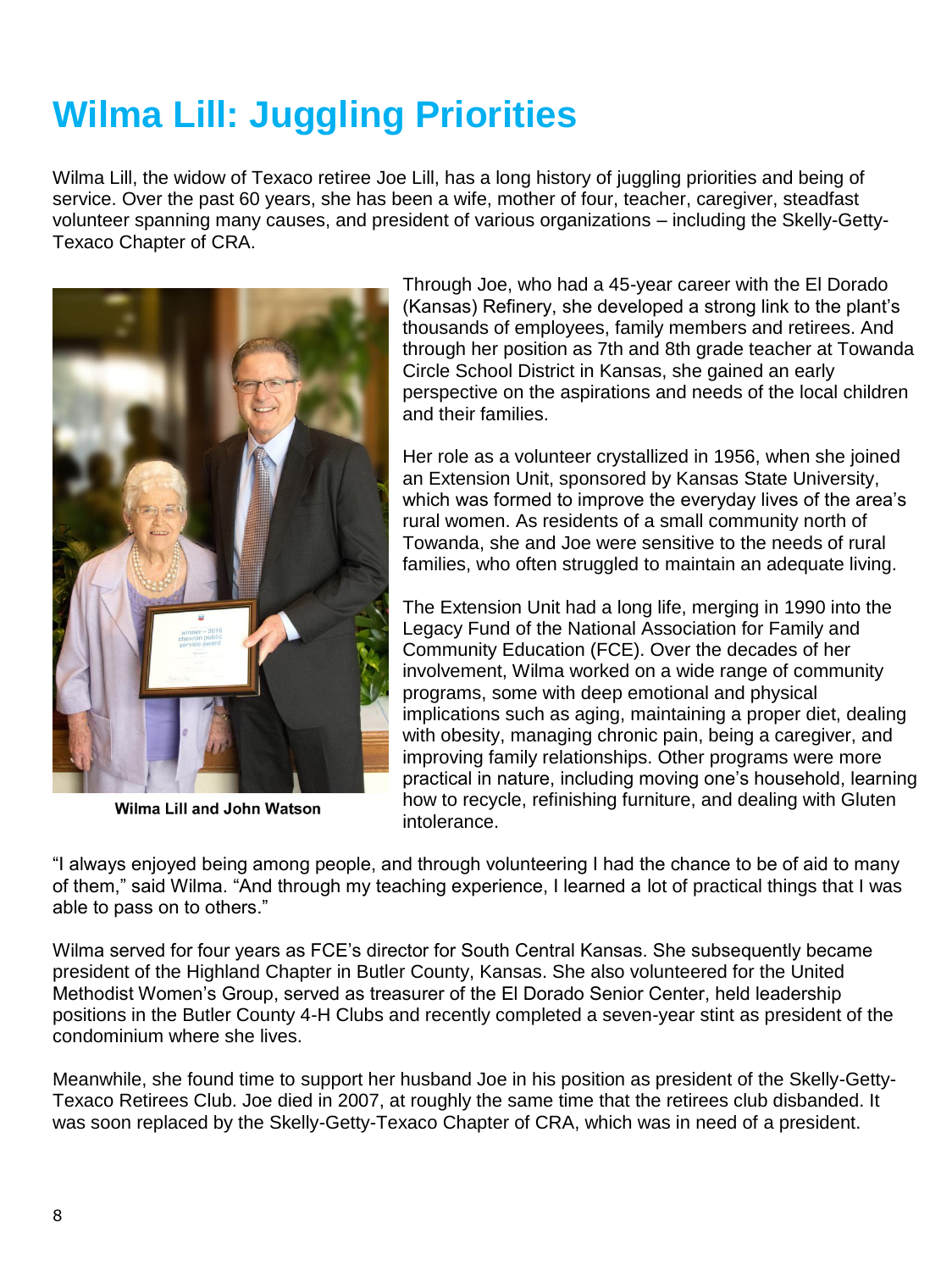# **Wilma Lill: Juggling Priorities**

Wilma Lill, the widow of Texaco retiree Joe Lill, has a long history of juggling priorities and being of service. Over the past 60 years, she has been a wife, mother of four, teacher, caregiver, steadfast volunteer spanning many causes, and president of various organizations – including the Skelly-Getty-Texaco Chapter of CRA.



Wilma Lill and John Watson

Through Joe, who had a 45-year career with the El Dorado (Kansas) Refinery, she developed a strong link to the plant's thousands of employees, family members and retirees. And through her position as 7th and 8th grade teacher at Towanda Circle School District in Kansas, she gained an early perspective on the aspirations and needs of the local children and their families.

Her role as a volunteer crystallized in 1956, when she joined an Extension Unit, sponsored by Kansas State University, which was formed to improve the everyday lives of the area's rural women. As residents of a small community north of Towanda, she and Joe were sensitive to the needs of rural families, who often struggled to maintain an adequate living.

The Extension Unit had a long life, merging in 1990 into the Legacy Fund of the National Association for Family and Community Education (FCE). Over the decades of her involvement, Wilma worked on a wide range of community programs, some with deep emotional and physical implications such as aging, maintaining a proper diet, dealing with obesity, managing chronic pain, being a caregiver, and improving family relationships. Other programs were more practical in nature, including moving one's household, learning how to recycle, refinishing furniture, and dealing with Gluten intolerance.

"I always enjoyed being among people, and through volunteering I had the chance to be of aid to many of them," said Wilma. "And through my teaching experience, I learned a lot of practical things that I was able to pass on to others."

Wilma served for four years as FCE's director for South Central Kansas. She subsequently became president of the Highland Chapter in Butler County, Kansas. She also volunteered for the United Methodist Women's Group, served as treasurer of the El Dorado Senior Center, held leadership positions in the Butler County 4-H Clubs and recently completed a seven-year stint as president of the condominium where she lives.

Meanwhile, she found time to support her husband Joe in his position as president of the Skelly-Getty-Texaco Retirees Club. Joe died in 2007, at roughly the same time that the retirees club disbanded. It was soon replaced by the Skelly-Getty-Texaco Chapter of CRA, which was in need of a president.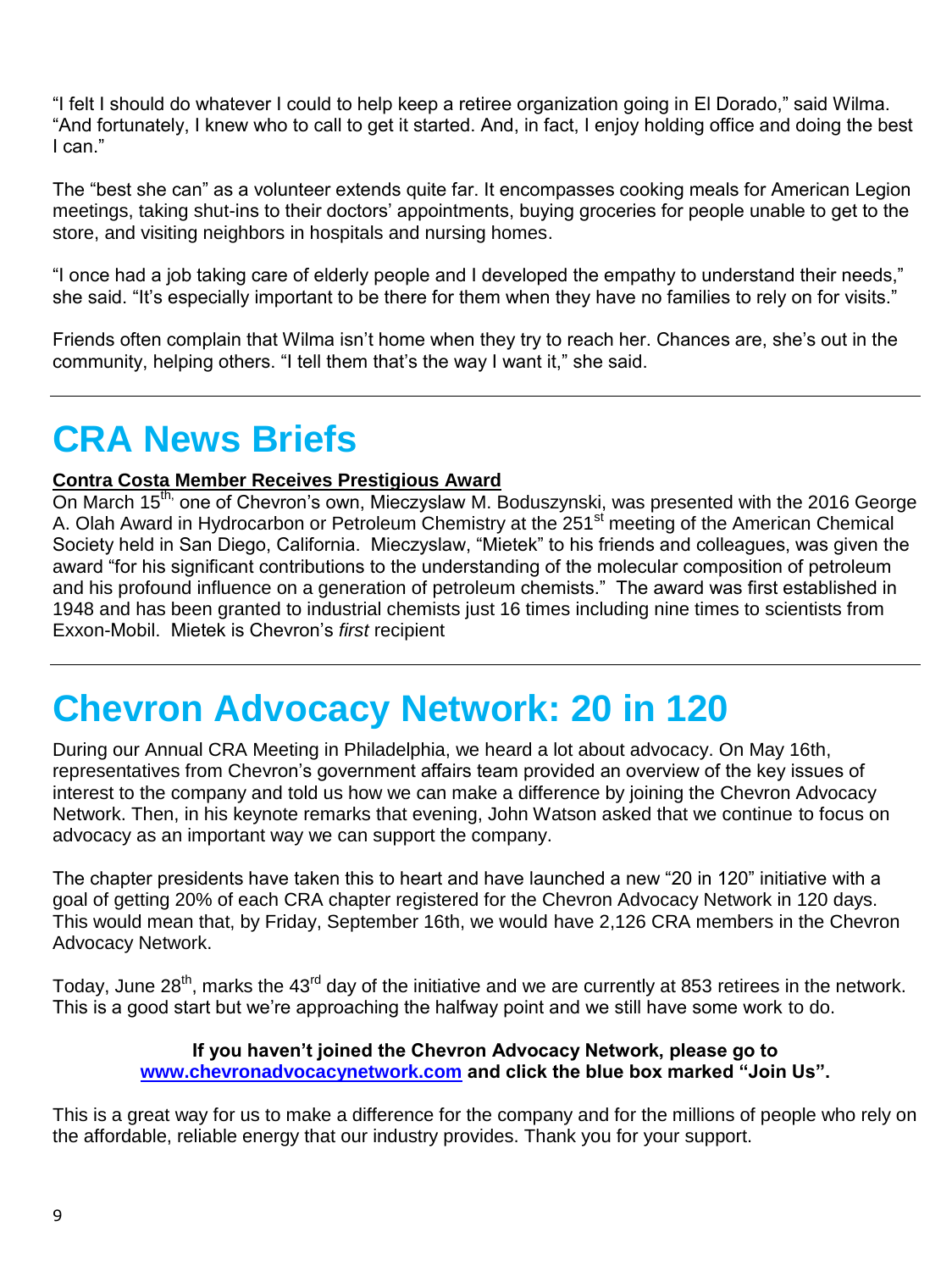"I felt I should do whatever I could to help keep a retiree organization going in El Dorado," said Wilma. "And fortunately, I knew who to call to get it started. And, in fact, I enjoy holding office and doing the best I can."

The "best she can" as a volunteer extends quite far. It encompasses cooking meals for American Legion meetings, taking shut-ins to their doctors' appointments, buying groceries for people unable to get to the store, and visiting neighbors in hospitals and nursing homes.

"I once had a job taking care of elderly people and I developed the empathy to understand their needs," she said. "It's especially important to be there for them when they have no families to rely on for visits."

Friends often complain that Wilma isn't home when they try to reach her. Chances are, she's out in the community, helping others. "I tell them that's the way I want it," she said.

# **CRA News Briefs**

## **Contra Costa Member Receives Prestigious Award**

On March 15<sup>th,</sup> one of Chevron's own, Mieczyslaw M. Boduszynski, was presented with the 2016 George A. Olah Award in Hydrocarbon or Petroleum Chemistry at the 251<sup>st</sup> meeting of the American Chemical Society held in San Diego, California. Mieczyslaw, "Mietek" to his friends and colleagues, was given the award "for his significant contributions to the understanding of the molecular composition of petroleum and his profound influence on a generation of petroleum chemists." The award was first established in 1948 and has been granted to industrial chemists just 16 times including nine times to scientists from Exxon-Mobil. Mietek is Chevron's *first* recipient

# **Chevron Advocacy Network: 20 in 120**

During our Annual CRA Meeting in Philadelphia, we heard a lot about advocacy. On May 16th, representatives from Chevron's government affairs team provided an overview of the key issues of interest to the company and told us how we can make a difference by joining the Chevron Advocacy Network. Then, in his keynote remarks that evening, John Watson asked that we continue to focus on advocacy as an important way we can support the company.

The chapter presidents have taken this to heart and have launched a new "20 in 120" initiative with a goal of getting 20% of each CRA chapter registered for the Chevron Advocacy Network in 120 days. This would mean that, by Friday, September 16th, we would have 2,126 CRA members in the Chevron Advocacy Network.

Today, June 28<sup>th</sup>, marks the 43<sup>rd</sup> day of the initiative and we are currently at 853 retirees in the network. This is a good start but we're approaching the halfway point and we still have some work to do.

#### **If you haven't joined the Chevron Advocacy Network, please go to [www.chevronadvocacynetwork.com](http://www.chevronadvocacynetwork.com/) and click the blue box marked "Join Us".**

This is a great way for us to make a difference for the company and for the millions of people who rely on the affordable, reliable energy that our industry provides. Thank you for your support.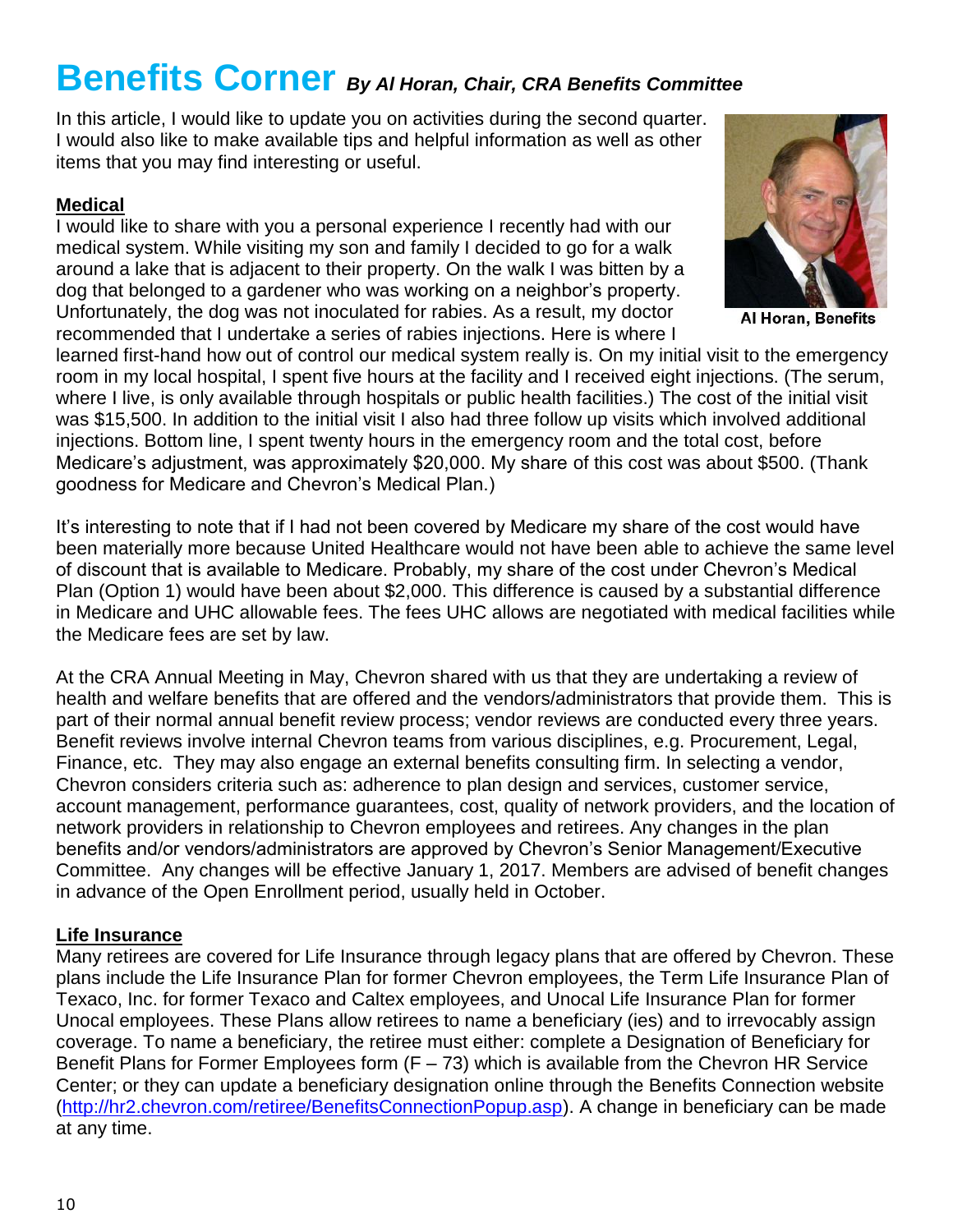# **Benefits Corner** *By Al Horan, Chair, CRA Benefits Committee*

In this article, I would like to update you on activities during the second quarter. I would also like to make available tips and helpful information as well as other items that you may find interesting or useful.

## **Medical**

I would like to share with you a personal experience I recently had with our medical system. While visiting my son and family I decided to go for a walk around a lake that is adjacent to their property. On the walk I was bitten by a dog that belonged to a gardener who was working on a neighbor's property. Unfortunately, the dog was not inoculated for rabies. As a result, my doctor recommended that I undertake a series of rabies injections. Here is where I



Al Horan, Benefits

learned first-hand how out of control our medical system really is. On my initial visit to the emergency room in my local hospital, I spent five hours at the facility and I received eight injections. (The serum, where I live, is only available through hospitals or public health facilities.) The cost of the initial visit was \$15,500. In addition to the initial visit I also had three follow up visits which involved additional injections. Bottom line, I spent twenty hours in the emergency room and the total cost, before Medicare's adjustment, was approximately \$20,000. My share of this cost was about \$500. (Thank goodness for Medicare and Chevron's Medical Plan.)

It's interesting to note that if I had not been covered by Medicare my share of the cost would have been materially more because United Healthcare would not have been able to achieve the same level of discount that is available to Medicare. Probably, my share of the cost under Chevron's Medical Plan (Option 1) would have been about \$2,000. This difference is caused by a substantial difference in Medicare and UHC allowable fees. The fees UHC allows are negotiated with medical facilities while the Medicare fees are set by law.

At the CRA Annual Meeting in May, Chevron shared with us that they are undertaking a review of health and welfare benefits that are offered and the vendors/administrators that provide them. This is part of their normal annual benefit review process; vendor reviews are conducted every three years. Benefit reviews involve internal Chevron teams from various disciplines, e.g. Procurement, Legal, Finance, etc. They may also engage an external benefits consulting firm. In selecting a vendor, Chevron considers criteria such as: adherence to plan design and services, customer service, account management, performance guarantees, cost, quality of network providers, and the location of network providers in relationship to Chevron employees and retirees. Any changes in the plan benefits and/or vendors/administrators are approved by Chevron's Senior Management/Executive Committee. Any changes will be effective January 1, 2017. Members are advised of benefit changes in advance of the Open Enrollment period, usually held in October.

## **Life Insurance**

Many retirees are covered for Life Insurance through legacy plans that are offered by Chevron. These plans include the Life Insurance Plan for former Chevron employees, the Term Life Insurance Plan of Texaco, Inc. for former Texaco and Caltex employees, and Unocal Life Insurance Plan for former Unocal employees. These Plans allow retirees to name a beneficiary (ies) and to irrevocably assign coverage. To name a beneficiary, the retiree must either: complete a Designation of Beneficiary for Benefit Plans for Former Employees form  $(F - 73)$  which is available from the Chevron HR Service Center; or they can update a beneficiary designation online through the Benefits Connection website [\(http://hr2.chevron.com/retiree/BenefitsConnectionPopup.asp\)](http://hr2.chevron.com/retiree/BenefitsConnectionPopup.asp). A change in beneficiary can be made at any time.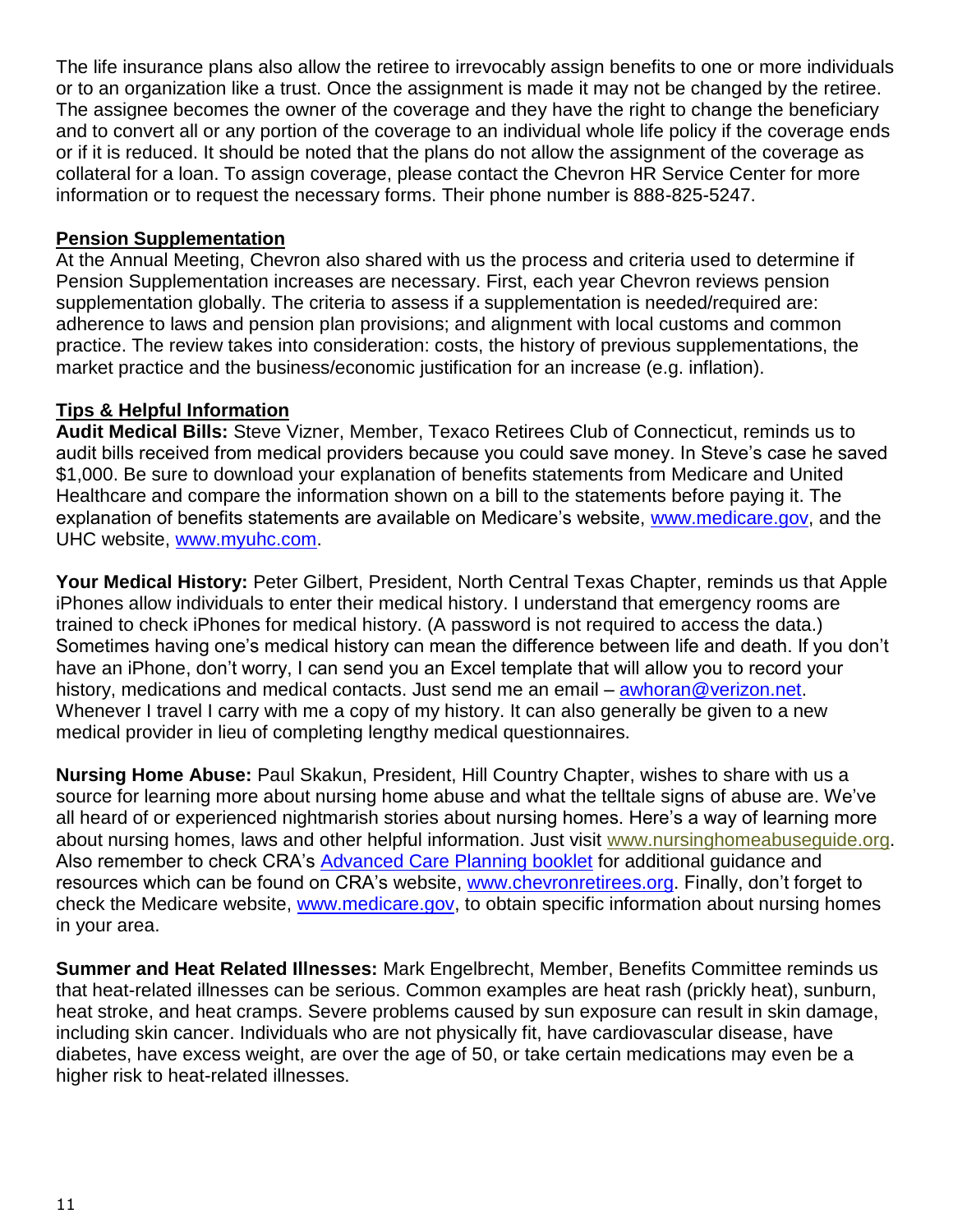The life insurance plans also allow the retiree to irrevocably assign benefits to one or more individuals or to an organization like a trust. Once the assignment is made it may not be changed by the retiree. The assignee becomes the owner of the coverage and they have the right to change the beneficiary and to convert all or any portion of the coverage to an individual whole life policy if the coverage ends or if it is reduced. It should be noted that the plans do not allow the assignment of the coverage as collateral for a loan. To assign coverage, please contact the Chevron HR Service Center for more information or to request the necessary forms. Their phone number is 888-825-5247.

#### **Pension Supplementation**

At the Annual Meeting, Chevron also shared with us the process and criteria used to determine if Pension Supplementation increases are necessary. First, each year Chevron reviews pension supplementation globally. The criteria to assess if a supplementation is needed/required are: adherence to laws and pension plan provisions; and alignment with local customs and common practice. The review takes into consideration: costs, the history of previous supplementations, the market practice and the business/economic justification for an increase (e.g. inflation).

## **Tips & Helpful Information**

**Audit Medical Bills:** Steve Vizner, Member, Texaco Retirees Club of Connecticut, reminds us to audit bills received from medical providers because you could save money. In Steve's case he saved \$1,000. Be sure to download your explanation of benefits statements from Medicare and United Healthcare and compare the information shown on a bill to the statements before paying it. The explanation of benefits statements are available on Medicare's website, [www.medicare.gov,](http://www.medicare.gov/) and the UHC website, [www.myuhc.com.](http://www.myuhc.com/)

**Your Medical History:** Peter Gilbert, President, North Central Texas Chapter, reminds us that Apple iPhones allow individuals to enter their medical history. I understand that emergency rooms are trained to check iPhones for medical history. (A password is not required to access the data.) Sometimes having one's medical history can mean the difference between life and death. If you don't have an iPhone, don't worry, I can send you an Excel template that will allow you to record your history, medications and medical contacts. Just send me an email – [awhoran@verizon.net.](mailto:awhoran@verizon.net) Whenever I travel I carry with me a copy of my history. It can also generally be given to a new medical provider in lieu of completing lengthy medical questionnaires.

**Nursing Home Abuse:** Paul Skakun, President, Hill Country Chapter, wishes to share with us a source for learning more about nursing home abuse and what the telltale signs of abuse are. We've all heard of or experienced nightmarish stories about nursing homes. Here's a way of learning more about nursing homes, laws and other helpful information. Just visit [www.nursinghomeabuseguide.org.](http://www.nursinghomeabuseguide.org/) Also remember to check CRA's [Advanced Care Planning booklet](http://chevronretirees.org/sf-docs/default-source/general-cra-docs/AdvCarePlanRev2.pdf?sfvrsn=0) for additional guidance and resources which can be found on CRA's website, [www.chevronretirees.org.](http://www.chevronretirees.org/) Finally, don't forget to check the Medicare website, [www.medicare.gov,](http://www.medicare.gov/) to obtain specific information about nursing homes in your area.

**Summer and Heat Related Illnesses:** Mark Engelbrecht, Member, Benefits Committee reminds us that heat-related illnesses can be serious. Common examples are heat rash (prickly heat), sunburn, heat stroke, and heat cramps. Severe problems caused by sun exposure can result in skin damage, including skin cancer. Individuals who are not physically fit, have cardiovascular disease, have diabetes, have excess weight, are over the age of 50, or take certain medications may even be a higher risk to heat-related illnesses.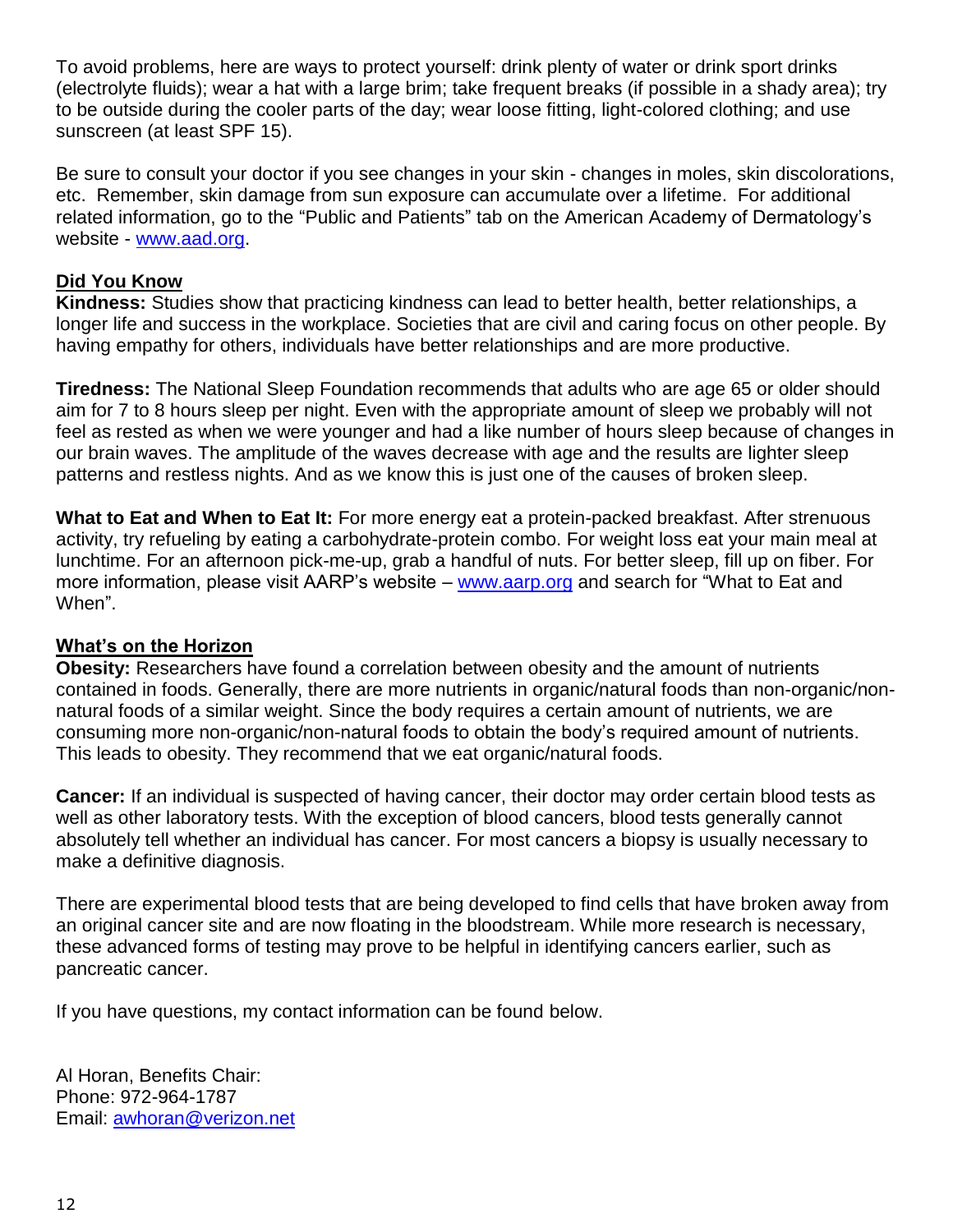To avoid problems, here are ways to protect yourself: drink plenty of water or drink sport drinks (electrolyte fluids); wear a hat with a large brim; take frequent breaks (if possible in a shady area); try to be outside during the cooler parts of the day; wear loose fitting, light-colored clothing; and use sunscreen (at least SPF 15).

Be sure to consult your doctor if you see changes in your skin - changes in moles, skin discolorations, etc. Remember, skin damage from sun exposure can accumulate over a lifetime. For additional related information, go to the "Public and Patients" tab on the American Academy of Dermatology's website - [www.aad.org.](http://www.aad.org/)

#### **Did You Know**

**Kindness:** Studies show that practicing kindness can lead to better health, better relationships, a longer life and success in the workplace. Societies that are civil and caring focus on other people. By having empathy for others, individuals have better relationships and are more productive.

**Tiredness:** The National Sleep Foundation recommends that adults who are age 65 or older should aim for 7 to 8 hours sleep per night. Even with the appropriate amount of sleep we probably will not feel as rested as when we were younger and had a like number of hours sleep because of changes in our brain waves. The amplitude of the waves decrease with age and the results are lighter sleep patterns and restless nights. And as we know this is just one of the causes of broken sleep.

**What to Eat and When to Eat It:** For more energy eat a protein-packed breakfast. After strenuous activity, try refueling by eating a carbohydrate-protein combo. For weight loss eat your main meal at lunchtime. For an afternoon pick-me-up, grab a handful of nuts. For better sleep, fill up on fiber. For more information, please visit AARP's website – [www.aarp.org](http://www.aarp.org/) and search for "What to Eat and When".

#### **What's on the Horizon**

**Obesity:** Researchers have found a correlation between obesity and the amount of nutrients contained in foods. Generally, there are more nutrients in organic/natural foods than non-organic/nonnatural foods of a similar weight. Since the body requires a certain amount of nutrients, we are consuming more non-organic/non-natural foods to obtain the body's required amount of nutrients. This leads to obesity. They recommend that we eat organic/natural foods.

**Cancer:** If an individual is suspected of having cancer, their doctor may order certain blood tests as well as other laboratory tests. With the exception of blood cancers, blood tests generally cannot absolutely tell whether an individual has cancer. For most cancers a biopsy is usually necessary to make a definitive diagnosis.

There are experimental blood tests that are being developed to find cells that have broken away from an original cancer site and are now floating in the bloodstream. While more research is necessary, these advanced forms of testing may prove to be helpful in identifying cancers earlier, such as pancreatic cancer.

If you have questions, my contact information can be found below.

Al Horan, Benefits Chair: Phone: 972-964-1787 Email: [awhoran@verizon.net](mailto:awhoran@verizon.net)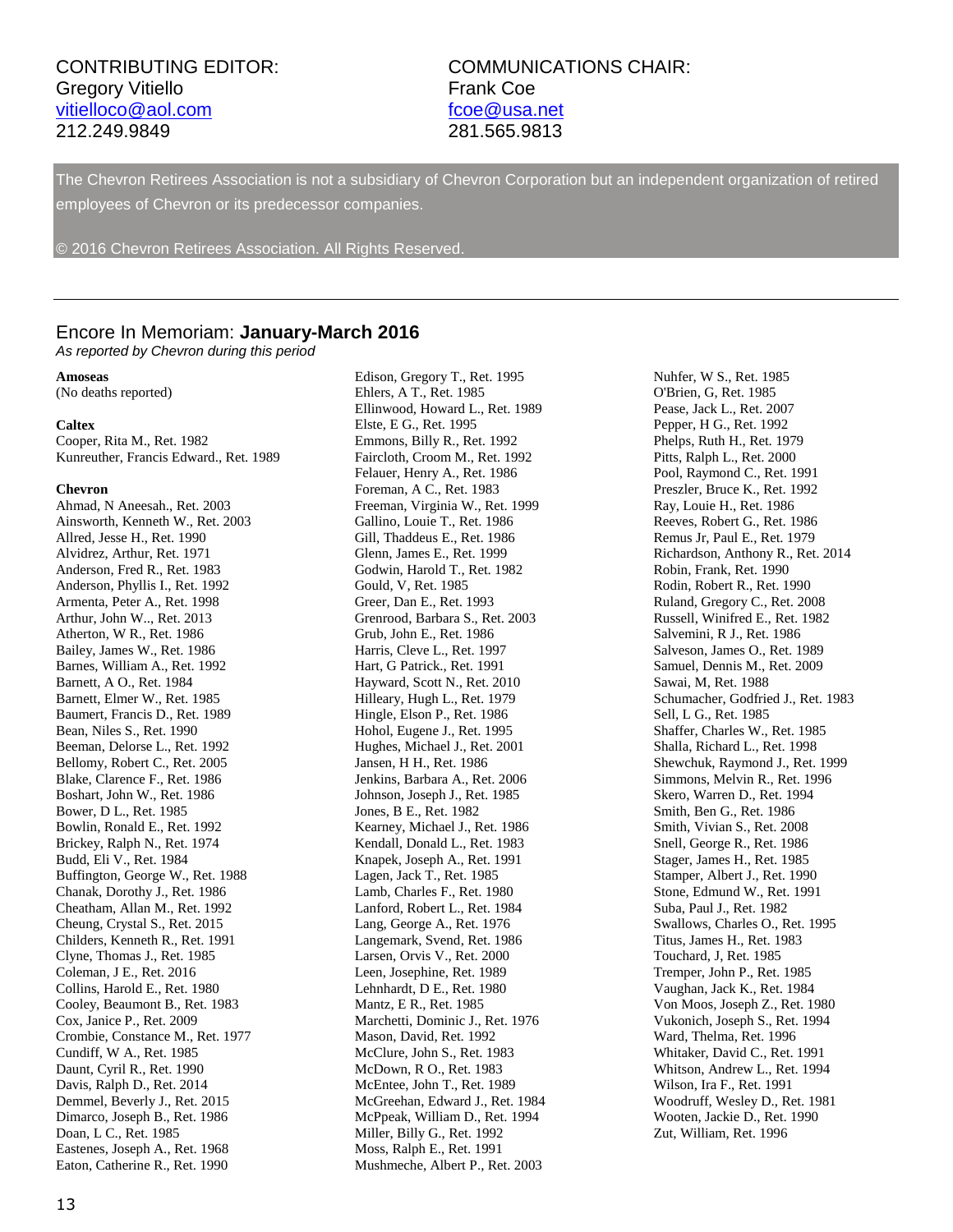# Gregory Vitiello **Frank Coe** [vitielloco@aol.com](mailto:vitielloco@aol.com) [fcoe@usa.net](mailto:fcoe@usa.net) 212.249.9849 281.565.9813

# CONTRIBUTING EDITOR: COMMUNICATIONS CHAIR:

The Chevron Retirees Association is not a subsidiary of Chevron Corporation but an independent organization of retired employees of Chevron or its predecessor companies.

© 2016 Chevron Retirees Association. All Rights Reserved.

#### Encore In Memoriam: **January-March 2016**

*As reported by Chevron during this period*

#### **Amoseas**

(No deaths reported)

#### **Caltex**

Cooper, Rita M., Ret. 1982 Kunreuther, Francis Edward., Ret. 1989

#### **Chevron**

Ahmad, N Aneesah., Ret. 2003 Ainsworth, Kenneth W., Ret. 2003 Allred, Jesse H., Ret. 1990 Alvidrez, Arthur, Ret. 1971 Anderson, Fred R., Ret. 1983 Anderson, Phyllis I., Ret. 1992 Armenta, Peter A., Ret. 1998 Arthur, John W.., Ret. 2013 Atherton, W R., Ret. 1986 Bailey, James W., Ret. 1986 Barnes, William A., Ret. 1992 Barnett, A O., Ret. 1984 Barnett, Elmer W., Ret. 1985 Baumert, Francis D., Ret. 1989 Bean, Niles S., Ret. 1990 Beeman, Delorse L., Ret. 1992 Bellomy, Robert C., Ret. 2005 Blake, Clarence F., Ret. 1986 Boshart, John W., Ret. 1986 Bower, D L., Ret. 1985 Bowlin, Ronald E., Ret. 1992 Brickey, Ralph N., Ret. 1974 Budd, Eli V., Ret. 1984 Buffington, George W., Ret. 1988 Chanak, Dorothy J., Ret. 1986 Cheatham, Allan M., Ret. 1992 Cheung, Crystal S., Ret. 2015 Childers, Kenneth R., Ret. 1991 Clyne, Thomas J., Ret. 1985 Coleman, J E., Ret. 2016 Collins, Harold E., Ret. 1980 Cooley, Beaumont B., Ret. 1983 Cox, Janice P., Ret. 2009 Crombie, Constance M., Ret. 1977 Cundiff, W A., Ret. 1985 Daunt, Cyril R., Ret. 1990 Davis, Ralph D., Ret. 2014 Demmel, Beverly J., Ret. 2015 Dimarco, Joseph B., Ret. 1986 Doan, L C., Ret. 1985 Eastenes, Joseph A., Ret. 1968 Eaton, Catherine R., Ret. 1990

Edison, Gregory T., Ret. 1995 Ehlers, A T., Ret. 1985 Ellinwood, Howard L., Ret. 1989 Elste, E G., Ret. 1995 Emmons, Billy R., Ret. 1992 Faircloth, Croom M., Ret. 1992 Felauer, Henry A., Ret. 1986 Foreman, A C., Ret. 1983 Freeman, Virginia W., Ret. 1999 Gallino, Louie T., Ret. 1986 Gill, Thaddeus E., Ret. 1986 Glenn, James E., Ret. 1999 Godwin, Harold T., Ret. 1982 Gould, V, Ret. 1985 Greer, Dan E., Ret. 1993 Grenrood, Barbara S., Ret. 2003 Grub, John E., Ret. 1986 Harris, Cleve L., Ret. 1997 Hart, G Patrick., Ret. 1991 Hayward, Scott N., Ret. 2010 Hilleary, Hugh L., Ret. 1979 Hingle, Elson P., Ret. 1986 Hohol, Eugene J., Ret. 1995 Hughes, Michael J., Ret. 2001 Jansen, H H., Ret. 1986 Jenkins, Barbara A., Ret. 2006 Johnson, Joseph J., Ret. 1985 Jones, B E., Ret. 1982 Kearney, Michael J., Ret. 1986 Kendall, Donald L., Ret. 1983 Knapek, Joseph A., Ret. 1991 Lagen, Jack T., Ret. 1985 Lamb, Charles F., Ret. 1980 Lanford, Robert L., Ret. 1984 Lang, George A., Ret. 1976 Langemark, Svend, Ret. 1986 Larsen, Orvis V., Ret. 2000 Leen, Josephine, Ret. 1989 Lehnhardt, D E., Ret. 1980 Mantz, E R., Ret. 1985 Marchetti, Dominic J., Ret. 1976 Mason, David, Ret. 1992 McClure, John S., Ret. 1983 McDown, R O., Ret. 1983 McEntee, John T., Ret. 1989 McGreehan, Edward J., Ret. 1984 McPpeak, William D., Ret. 1994 Miller, Billy G., Ret. 1992 Moss, Ralph E., Ret. 1991 Mushmeche, Albert P., Ret. 2003

Nuhfer, W S., Ret. 1985 O'Brien, G, Ret. 1985 Pease, Jack L., Ret. 2007 Pepper, H G., Ret. 1992 Phelps, Ruth H., Ret. 1979 Pitts, Ralph L., Ret. 2000 Pool, Raymond C., Ret. 1991 Preszler, Bruce K., Ret. 1992 Ray, Louie H., Ret. 1986 Reeves, Robert G., Ret. 1986 Remus Jr, Paul E., Ret. 1979 Richardson, Anthony R., Ret. 2014 Robin, Frank, Ret. 1990 Rodin, Robert R., Ret. 1990 Ruland, Gregory C., Ret. 2008 Russell, Winifred E., Ret. 1982 Salvemini, R J., Ret. 1986 Salveson, James O., Ret. 1989 Samuel, Dennis M., Ret. 2009 Sawai, M, Ret. 1988 Schumacher, Godfried J., Ret. 1983 Sell, L G., Ret. 1985 Shaffer, Charles W., Ret. 1985 Shalla, Richard L., Ret. 1998 Shewchuk, Raymond J., Ret. 1999 Simmons, Melvin R., Ret. 1996 Skero, Warren D., Ret. 1994 Smith, Ben G., Ret. 1986 Smith, Vivian S., Ret. 2008 Snell, George R., Ret. 1986 Stager, James H., Ret. 1985 Stamper, Albert J., Ret. 1990 Stone, Edmund W., Ret. 1991 Suba, Paul J., Ret. 1982 Swallows, Charles O., Ret. 1995 Titus, James H., Ret. 1983 Touchard, J, Ret. 1985 Tremper, John P., Ret. 1985 Vaughan, Jack K., Ret. 1984 Von Moos, Joseph Z., Ret. 1980 Vukonich, Joseph S., Ret. 1994 Ward, Thelma, Ret. 1996 Whitaker, David C., Ret. 1991 Whitson, Andrew L., Ret. 1994 Wilson, Ira F., Ret. 1991 Woodruff, Wesley D., Ret. 1981 Wooten, Jackie D., Ret. 1990 Zut, William, Ret. 1996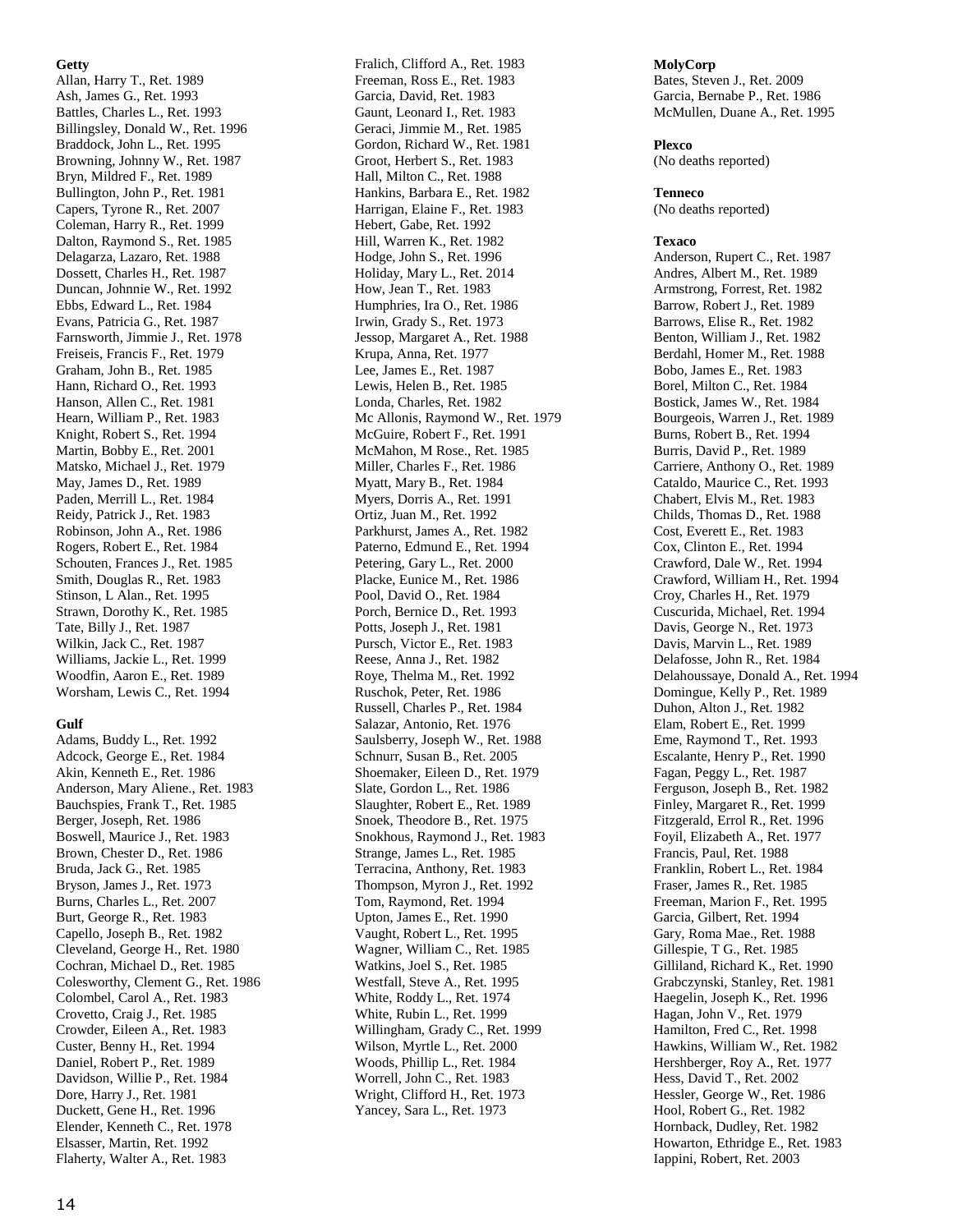#### **Getty**

Allan, Harry T., Ret. 1989 Ash, James G., Ret. 1993 Battles, Charles L., Ret. 1993 Billingsley, Donald W., Ret. 1996 Braddock, John L., Ret. 1995 Browning, Johnny W., Ret. 1987 Bryn, Mildred F., Ret. 1989 Bullington, John P., Ret. 1981 Capers, Tyrone R., Ret. 2007 Coleman, Harry R., Ret. 1999 Dalton, Raymond S., Ret. 1985 Delagarza, Lazaro, Ret. 1988 Dossett, Charles H., Ret. 1987 Duncan, Johnnie W., Ret. 1992 Ebbs, Edward L., Ret. 1984 Evans, Patricia G., Ret. 1987 Farnsworth, Jimmie J., Ret. 1978 Freiseis, Francis F., Ret. 1979 Graham, John B., Ret. 1985 Hann, Richard O., Ret. 1993 Hanson, Allen C., Ret. 1981 Hearn, William P., Ret. 1983 Knight, Robert S., Ret. 1994 Martin, Bobby E., Ret. 2001 Matsko, Michael J., Ret. 1979 May, James D., Ret. 1989 Paden, Merrill L., Ret. 1984 Reidy, Patrick J., Ret. 1983 Robinson, John A., Ret. 1986 Rogers, Robert E., Ret. 1984 Schouten, Frances J., Ret. 1985 Smith, Douglas R., Ret. 1983 Stinson, L Alan., Ret. 1995 Strawn, Dorothy K., Ret. 1985 Tate, Billy J., Ret. 1987 Wilkin, Jack C., Ret. 1987 Williams, Jackie L., Ret. 1999 Woodfin, Aaron E., Ret. 1989 Worsham, Lewis C., Ret. 1994

#### **Gulf**

Adams, Buddy L., Ret. 1992 Adcock, George E., Ret. 1984 Akin, Kenneth E., Ret. 1986 Anderson, Mary Aliene., Ret. 1983 Bauchspies, Frank T., Ret. 1985 Berger, Joseph, Ret. 1986 Boswell, Maurice J., Ret. 1983 Brown, Chester D., Ret. 1986 Bruda, Jack G., Ret. 1985 Bryson, James J., Ret. 1973 Burns, Charles L., Ret. 2007 Burt, George R., Ret. 1983 Capello, Joseph B., Ret. 1982 Cleveland, George H., Ret. 1980 Cochran, Michael D., Ret. 1985 Colesworthy, Clement G., Ret. 1986 Colombel, Carol A., Ret. 1983 Crovetto, Craig J., Ret. 1985 Crowder, Eileen A., Ret. 1983 Custer, Benny H., Ret. 1994 Daniel, Robert P., Ret. 1989 Davidson, Willie P., Ret. 1984 Dore, Harry J., Ret. 1981 Duckett, Gene H., Ret. 1996 Elender, Kenneth C., Ret. 1978 Elsasser, Martin, Ret. 1992 Flaherty, Walter A., Ret. 1983

Fralich, Clifford A., Ret. 1983 Freeman, Ross E., Ret. 1983 Garcia, David, Ret. 1983 Gaunt, Leonard I., Ret. 1983 Geraci, Jimmie M., Ret. 1985 Gordon, Richard W., Ret. 1981 Groot, Herbert S., Ret. 1983 Hall, Milton C., Ret. 1988 Hankins, Barbara E., Ret. 1982 Harrigan, Elaine F., Ret. 1983 Hebert, Gabe, Ret. 1992 Hill, Warren K., Ret. 1982 Hodge, John S., Ret. 1996 Holiday, Mary L., Ret. 2014 How, Jean T., Ret. 1983 Humphries, Ira O., Ret. 1986 Irwin, Grady S., Ret. 1973 Jessop, Margaret A., Ret. 1988 Krupa, Anna, Ret. 1977 Lee, James E., Ret. 1987 Lewis, Helen B., Ret. 1985 Londa, Charles, Ret. 1982 Mc Allonis, Raymond W., Ret. 1979 McGuire, Robert F., Ret. 1991 McMahon, M Rose., Ret. 1985 Miller, Charles F., Ret. 1986 Myatt, Mary B., Ret. 1984 Myers, Dorris A., Ret. 1991 Ortiz, Juan M., Ret. 1992 Parkhurst, James A., Ret. 1982 Paterno, Edmund E., Ret. 1994 Petering, Gary L., Ret. 2000 Placke, Eunice M., Ret. 1986 Pool, David O., Ret. 1984 Porch, Bernice D., Ret. 1993 Potts, Joseph J., Ret. 1981 Pursch, Victor E., Ret. 1983 Reese, Anna J., Ret. 1982 Roye, Thelma M., Ret. 1992 Ruschok, Peter, Ret. 1986 Russell, Charles P., Ret. 1984 Salazar, Antonio, Ret. 1976 Saulsberry, Joseph W., Ret. 1988 Schnurr, Susan B., Ret. 2005 Shoemaker, Eileen D., Ret. 1979 Slate, Gordon L., Ret. 1986 Slaughter, Robert E., Ret. 1989 Snoek, Theodore B., Ret. 1975 Snokhous, Raymond J., Ret. 1983 Strange, James L., Ret. 1985 Terracina, Anthony, Ret. 1983 Thompson, Myron J., Ret. 1992 Tom, Raymond, Ret. 1994 Upton, James E., Ret. 1990 Vaught, Robert L., Ret. 1995 Wagner, William C., Ret. 1985 Watkins, Joel S., Ret. 1985 Westfall, Steve A., Ret. 1995 White, Roddy L., Ret. 1974 White, Rubin L., Ret. 1999 Willingham, Grady C., Ret. 1999 Wilson, Myrtle L., Ret. 2000 Woods, Phillip L., Ret. 1984 Worrell, John C., Ret. 1983 Wright, Clifford H., Ret. 1973 Yancey, Sara L., Ret. 1973

#### **MolyCorp**

Bates, Steven J., Ret. 2009 Garcia, Bernabe P., Ret. 1986 McMullen, Duane A., Ret. 1995

#### **Plexco**

(No deaths reported)

#### **Tenneco**

(No deaths reported)

#### **Texaco**

Anderson, Rupert C., Ret. 1987 Andres, Albert M., Ret. 1989 Armstrong, Forrest, Ret. 1982 Barrow, Robert J., Ret. 1989 Barrows, Elise R., Ret. 1982 Benton, William J., Ret. 1982 Berdahl, Homer M., Ret. 1988 Bobo, James E., Ret. 1983 Borel, Milton C., Ret. 1984 Bostick, James W., Ret. 1984 Bourgeois, Warren J., Ret. 1989 Burns, Robert B., Ret. 1994 Burris, David P., Ret. 1989 Carriere, Anthony O., Ret. 1989 Cataldo, Maurice C., Ret. 1993 Chabert, Elvis M., Ret. 1983 Childs, Thomas D., Ret. 1988 Cost, Everett E., Ret. 1983 Cox, Clinton E., Ret. 1994 Crawford, Dale W., Ret. 1994 Crawford, William H., Ret. 1994 Croy, Charles H., Ret. 1979 Cuscurida, Michael, Ret. 1994 Davis, George N., Ret. 1973 Davis, Marvin L., Ret. 1989 Delafosse, John R., Ret. 1984 Delahoussaye, Donald A., Ret. 1994 Domingue, Kelly P., Ret. 1989 Duhon, Alton J., Ret. 1982 Elam, Robert E., Ret. 1999 Eme, Raymond T., Ret. 1993 Escalante, Henry P., Ret. 1990 Fagan, Peggy L., Ret. 1987 Ferguson, Joseph B., Ret. 1982 Finley, Margaret R., Ret. 1999 Fitzgerald, Errol R., Ret. 1996 Foyil, Elizabeth A., Ret. 1977 Francis, Paul, Ret. 1988 Franklin, Robert L., Ret. 1984 Fraser, James R., Ret. 1985 Freeman, Marion F., Ret. 1995 Garcia, Gilbert, Ret. 1994 Gary, Roma Mae., Ret. 1988 Gillespie, T G., Ret. 1985 Gilliland, Richard K., Ret. 1990 Grabczynski, Stanley, Ret. 1981 Haegelin, Joseph K., Ret. 1996 Hagan, John V., Ret. 1979 Hamilton, Fred C., Ret. 1998 Hawkins, William W., Ret. 1982 Hershberger, Roy A., Ret. 1977 Hess, David T., Ret. 2002 Hessler, George W., Ret. 1986 Hool, Robert G., Ret. 1982 Hornback, Dudley, Ret. 1982 Howarton, Ethridge E., Ret. 1983 Iappini, Robert, Ret. 2003